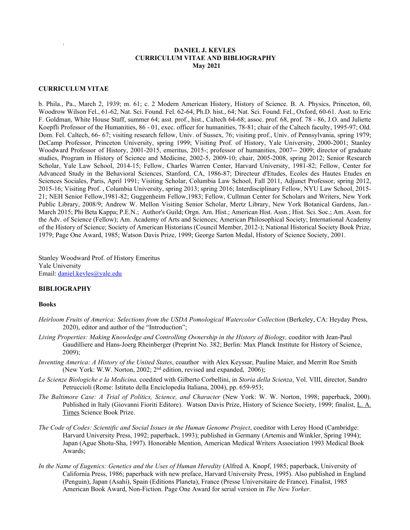# **DANIEL J. KEVLES CURRICULUM VITAE AND BIBLIOGRAPHY May 2021**

# **CURRICULUM VITAE**

.

b. Phila., Pa., March 2, 1939; m. 61; c. 2 Modern American History, History of Science. B. A. Physics, Princeton, 60, Woodrow Wilson Fel., 61-62, Nat. Sci. Found. Fel. 62-64, Ph.D. hist., 64; Nat. Sci. Found. Fel., Oxford, 60-61. Asst. to Eric F. Goldman, White House Staff, summer 64; asst. prof., hist., Caltech 64-68; assoc. prof. 68, prof. 78 - 86, J.O. and Juliette Koepfli Professor of the Humanities, 86 - 01, exec. officer for humanities, 78-81; chair of the Caltech faculty, 1995-97; Old. Dom. Fel. Caltech, 66- 67; visiting research fellow, Univ. of Sussex, 76; visiting prof., Univ. of Pennsylvania, spring 1979; DeCamp Professor, Princeton University, spring 1999; Visiting Prof. of History, Yale University, 2000-2001; Stanley Woodward Professor of History, 2001-2015, emeritus, 2015-; professor of humanities, 2007-- 2009; director of graduate studies, Program in History of Science and Medicine, 2002-5, 2009-10; chair, 2005-2008, spring 2012; Senior Research Scholar, Yale Law School, 2014-15; Fellow, Charles Warren Center, Harvard University, 1981-82; Fellow, Center for Advanced Study in the Behavioral Sciences, Stanford, CA, 1986-87; Directeur d'Etudes, Ecoles des Hautes Etudes en Sciences Sociales, Paris, April 1991; Visiting Scholar, Columbia Law School, Fall 2011, Adjunct Professor, spring 2012, 2015-16; Visiting Prof. , Columbia University, spring 2013; spring 2016; Interdisciplinary Fellow, NYU Law School, 2015- 21; NEH Senior Fellow,1981-82; Guggenheim Fellow,1983; Fellow, Cullman Center for Scholars and Writers, New York Public Library, 2008/9; Andrew W. Mellon Visiting Senior Scholar, Mertz Library, New York Botanical Gardens, Jan.- March 2015; Phi Beta Kappa; P.E.N.; Author's Guild; Orgn. Am. Hist.; American Hist. Assn.; Hist. Sci. Soc.; Am. Assn. for the Adv. of Science (Fellow); Am. Academy of Arts and Sciences; American Philosophical Society; International Academy of the History of Science; Society of American Historians (Council Member, 2012-); National Historical Society Book Prize, 1979; Page One Award, 1985; Watson Davis Prize, 1999; George Sarton Medal, History of Science Society, 2001.

Stanley Woodward Prof. of History Emeritus Yale University Email: [daniel.kevles@yale.edu](mailto:daniel.kevles@yale.edu)

# **BIBLIOGRAPHY**

#### **Books**

- *Heirloom Fruits of America: Selections from the USDA Pomological Watercolor Collection (Berkeley, CA: Heyday Press,* 2020), editor and author of the "Introduction";
- *Living Properties: Making Knowledge and Controlling Ownership in the History of Biology,* coeditor with Jean-Paul Gaudilliere and Hans-Joerg Rheinberger (Preprint No. 382; Berlin: Max Planck Institute for History of Science, 2009);
- *Inventing America: A History of the United States*, coauthor with Alex Keyssar, Pauline Maier, and Merritt Roe Smith (New York: W.W. Norton, 2002; 2nd edition, revised and expanded, 2006);
- *Le Scienze Biologiche e la Medicina,* coedited with Gilberto Corbellini, in *Storia della Scienza*, Vol. VIII, director, Sandro Petruccioli (Rome: Istituto della Enciclopedia Italiana, 2004), pp. 659-953;
- *The Baltimore Case: A Trial of Politics, Science, and Character* (New York: W. W. Norton, 1998; paperback, 2000). Published in Italy (Giovanni Fioriti Editore). Watson Davis Prize, History of Science Society, 1999; finalist, L. A. Times Science Book Prize.
- *The Code of Codes: Scientific and Social Issues in the Human Genome Project*, coeditor with Leroy Hood (Cambridge: Harvard University Press, 1992; paperback, 1993); published in Germany (Artemis and Winkler, Spring 1994); Japan (Ague Shotu-Sha, 1997). Honorable Mention, American Medical Writers Association 1993 Medical Book Awards;
- In the Name of Eugenics: Genetics and the Uses of Human Heredity (Alfred A. Knopf, 1985; paperback, University of California Press, 1986; paperback with new preface, Harvard University Press, 1995). Also published in England (Penguin), Japan (Asahi), Spain (Editions Planeta), France (Presse Universitaire de France). Finalist, 1985 American Book Award, Non-Fiction. Page One Award for serial version in *The New Yorker*.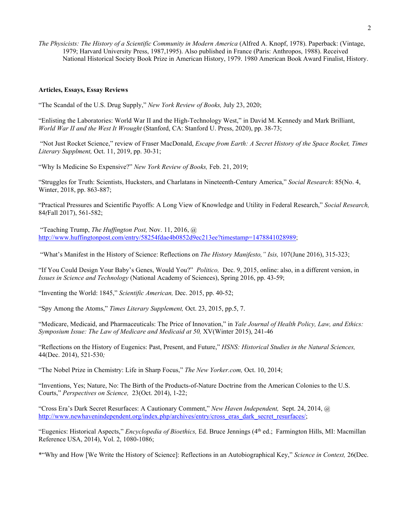*The Physicists: The History of a Scientific Community in Modern America* (Alfred A. Knopf, 1978). Paperback: (Vintage, 1979; Harvard University Press, 1987,1995). Also published in France (Paris: Anthropos, 1988). Received National Historical Society Book Prize in American History, 1979. 1980 American Book Award Finalist, History.

#### **Articles, Essays, Essay Reviews**

"The Scandal of the U.S. Drug Supply," *New York Review of Books,* July 23, 2020;

"Enlisting the Laboratories: World War II and the High-Technology West," in David M. Kennedy and Mark Brilliant, *World War II and the West It Wrought* (Stanford, CA: Stanford U. Press, 2020), pp. 38-73;

"Not Just Rocket Science," review of Fraser MacDonald, *Escape from Earth: A Secret History of the Space Rocket, Times Literary Supplment,* Oct. 11, 2019, pp. 30-31;

"Why Is Medicine So Expensive?" *New York Review of Books,* Feb. 21, 2019;

"Struggles for Truth: Scientists, Hucksters, and Charlatans in Nineteenth-Century America," *Social Research*: 85(No. 4, Winter, 2018, pp. 863-887;

"Practical Pressures and Scientific Payoffs: A Long View of Knowledge and Utility in Federal Research," *Social Research,*  84*(*Fall 2017), 561-582;

"Teaching Trump, *The Huffington Post,* Nov. 11, 2016, @ [http://www.huffingtonpost.com/entry/58254fdae4b0852d9ec213ee?timestamp=1478841028989;](https://urldefense.proofpoint.com/v2/url?u=http-3A__www.huffingtonpost.com_entry_58254fdae4b0852d9ec213ee-3Ftimestamp-3D1478841028989&d=CwMFaQ&c=-dg2m7zWuuDZ0MUcV7Sdqw&r=OcibBKo-27hyB6ovchrwDxab8Kuw4D_TMhEx4myWQpI&m=HVqhEFwz87zlbG3t-lLAJDOk-aBjAIsoZlbFERKfjBc&s=nc5ao9hh9MalfP1vshUitdRV3p65rW335jPPCmOGGag&e=)

"What's Manifest in the History of Science: Reflections on *The History Manifesto," Isis,* 107(June 2016), 315-323;

"If You Could Design Your Baby's Genes, Would You?" *Politico,* Dec. 9, 2015, online: also, in a different version, in *Issues in Science and Technology* (National Academy of Sciences), Spring 2016, pp. 43-59;

"Inventing the World: 1845," *Scientific American,* Dec. 2015, pp. 40-52;

"Spy Among the Atoms," *Times Literary Supplement,* Oct. 23, 2015, pp.5, 7.

"Medicare, Medicaid, and Pharmaceuticals: The Price of Innovation," in *Yale Journal of Health Policy, Law, and Ethics: Symposium Issue: The Law of Medicare and Medicaid at 50,* XV(Winter 2015), 241-46

"Reflections on the History of Eugenics: Past, Present, and Future," *HSNS: Historical Studies in the Natural Sciences,*  44(Dec. 2014), 521-530*;* 

"The Nobel Prize in Chemistry: Life in Sharp Focus," *The New Yorker.com,* Oct. 10, 2014;

"Inventions, Yes; Nature, No: The Birth of the Products-of-Nature Doctrine from the American Colonies to the U.S. Courts," *Perspectives on Science,* 23(Oct. 2014), 1-22;

"Cross Era's Dark Secret Resurfaces: A Cautionary Comment," *New Haven Independent,* Sept. 24, 2014, @ [http://www.newhavenindependent.org/index.php/archives/entry/cross\\_eras\\_dark\\_secret\\_resurfaces/;](http://www.newhavenindependent.org/index.php/archives/entry/cross_eras_dark_secret_resurfaces/)

"Eugenics: Historical Aspects," *Encyclopedia of Bioethics,* Ed. Bruce Jennings (4th ed.; Farmington Hills, MI: Macmillan Reference USA, 2014), Vol. 2, 1080-1086;

\*"Why and How [We Write the History of Science]: Reflections in an Autobiographical Key," *Science in Context,* 26(Dec.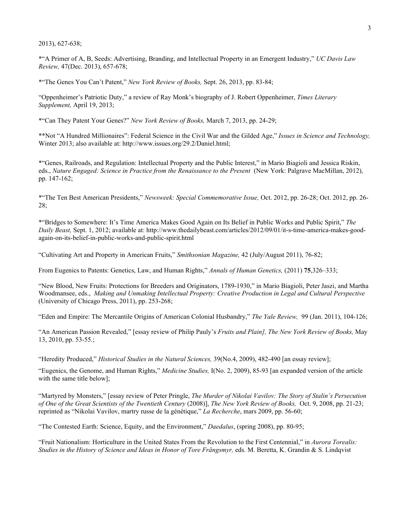2013), 627-638;

\*"A Primer of A, B, Seeds: Advertising, Branding, and Intellectual Property in an Emergent Industry," *UC Davis Law Review,* 47(Dec. 2013), 657-678;

\*"The Genes You Can't Patent," *New York Review of Books,* Sept. 26, 2013, pp. 83-84;

"Oppenheimer's Patriotic Duty," a review of Ray Monk's biography of J. Robert Oppenheimer, *Times Literary Supplement,* April 19, 2013;

\*"Can They Patent Your Genes?" *New York Review of Books,* March 7, 2013, pp. 24-29;

\*\*Not "A Hundred Millionaires": Federal Science in the Civil War and the Gilded Age," *Issues in Science and Technology,*  Winter 2013; also available at: http://www.issues.org/29.2/Daniel.html;

\*"Genes, Railroads, and Regulation: Intellectual Property and the Public Interest," in Mario Biagioli and Jessica Riskin, eds., *Nature Engaged: Science in Practice from the Renaissance to the Present* (New York: Palgrave MacMillan, 2012), pp. 147-162;

\*"The Ten Best American Presidents," *Newsweek: Special Commemorative Issue,* Oct. 2012, pp. 26-28; Oct. 2012, pp. 26- 28;

\*"Bridges to Somewhere: It's Time America Makes Good Again on Its Belief in Public Works and Public Spirit," *The Daily Beast,* Sept. 1, 2012; available at: http://www.thedailybeast.com/articles/2012/09/01/it-s-time-america-makes-goodagain-on-its-belief-in-public-works-and-public-spirit.html

"Cultivating Art and Property in American Fruits," *Smithsonian Magazine,* 42 (July/August 2011), 76-82;

From Eugenics to Patents: Genetics, Law, and Human Rights," *Annals of Human Genetics,* (2011) **75**,326–333;

"New Blood, New Fruits: Protections for Breeders and Originators, 1789-1930," in Mario Biagioli, Peter Jaszi, and Martha Woodmansee, eds., *Making and Unmaking Intellectual Property: Creative Production in Legal and Cultural Perspective*  (University of Chicago Press, 2011), pp. 253-268;

"Eden and Empire: The Mercantile Origins of American Colonial Husbandry," *The Yale Review,* 99 (Jan. 2011), 104-126;

"An American Passion Revealed," [essay review of Philip Pauly's *Fruits and Plain], The New York Review of Books,* May 13, 2010, pp. 53-55*.*;

"Heredity Produced," *Historical Studies in the Natural Sciences,* 39(No.4, 2009), 482-490 [an essay review];

"Eugenics, the Genome, and Human Rights," *Medicine Studies,* I(No. 2, 2009), 85-93 [an expanded version of the article with the same title below];

"Martyred by Monsters," [essay review of Peter Pringle, *The Murder of Nikolai Vavilov: The Story of Stalin's Persecution of One of the Great Scientists of the Twentieth Century* (2008)], *The New York Review of Books,* Oct. 9, 2008, pp. 21-23; reprinted as "Nikolai Vavilov, martry russe de la génétique," *La Recherche*, mars 2009, pp. 56-60;

"The Contested Earth: Science, Equity, and the Environment," *Daedalus*, (spring 2008), pp. 80-95;

"Fruit Nationalism: Horticulture in the United States From the Revolution to the First Centennial," in *Aurora Torealis: Studies in the History of Science and Ideas in Honor of Tore Frängsmyr,* eds. M. Beretta, K. Grandin & S. Lindqvist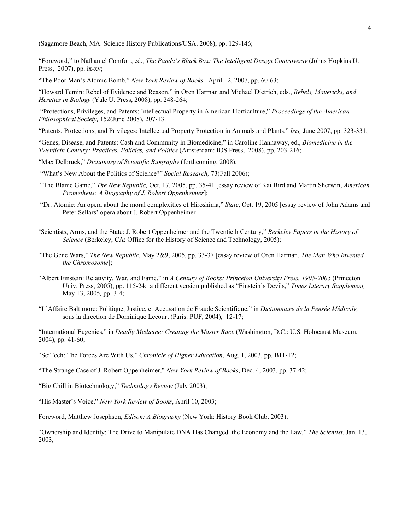(Sagamore Beach, MA: Science History Publications/USA, 2008), pp. 129-146;

"Foreword," to Nathaniel Comfort, ed., *The Panda's Black Box: The Intelligent Design Controversy* (Johns Hopkins U. Press, 2007), pp. ix-xv;

"The Poor Man's Atomic Bomb," *New York Review of Books,* April 12, 2007, pp. 60-63;

"Howard Temin: Rebel of Evidence and Reason," in Oren Harman and Michael Dietrich, eds., *Rebels, Mavericks, and Heretics in Biology* (Yale U. Press, 2008), pp. 248-264;

"Protections, Privileges, and Patents: Intellectual Property in American Horticulture," *Proceedings of the American Philosophical Society,* 152(June 2008), 207-13.

"Patents, Protections, and Privileges: Intellectual Property Protection in Animals and Plants," *Isis,* June 2007, pp. 323-331;

"Genes, Disease, and Patents: Cash and Community in Biomedicine," in Caroline Hannaway, ed., *Biomedicine in the Twentieth Century: Practices, Policies, and Politics* (Amsterdam: IOS Press, 2008), pp. 203-216;

"Max Delbruck," *Dictionary of Scientific Biography* (forthcoming, 2008);

"What's New About the Politics of Science?" *Social Research,* 73(Fall 2006);

- "The Blame Game," *The New Republic,* Oct. 17, 2005, pp. 35-41 [essay review of Kai Bird and Martin Sherwin, *American Prometheus: A Biography of J. Robert Oppenheimer*];
- "Dr. Atomic: An opera about the moral complexities of Hiroshima," *Slate*, Oct. 19, 2005 [essay review of John Adams and Peter Sellars' opera about J. Robert Oppenheimer]
- "Scientists, Arms, and the State: J. Robert Oppenheimer and the Twentieth Century," *Berkeley Papers in the History of Science* (Berkeley, CA: Office for the History of Science and Technology, 2005);
- "The Gene Wars," *The New Republic*, May 2&9, 2005, pp. 33-37 [essay review of Oren Harman, *The Man Who Invented the Chromosome*];
- "Albert Einstein: Relativity, War, and Fame," in *A Century of Books: Princeton University Press, 1905-2005* (Princeton Univ. Press, 2005), pp. 115-24; a different version published as "Einstein's Devils," *Times Literary Supplement,*  May 13, 2005*,* pp. 3-4;
- "L'Affaire Baltimore: Politique, Justice, et Accusation de Fraude Scientifique," in *Dictionnaire de la Pensée Médicale,*  sous la direction de Dominique Lecourt (Paris: PUF, 2004), 12-17;

"International Eugenics," in *Deadly Medicine: Creating the Master Race* (Washington, D.C.: U.S. Holocaust Museum, 2004), pp. 41-60;

"The Strange Case of J. Robert Oppenheimer," *New York Review of Books*, Dec. 4, 2003, pp. 37-42;

"Big Chill in Biotechnology," *Technology Review* (July 2003);

"His Master's Voice," *New York Review of Books*, April 10, 2003;

Foreword, Matthew Josephson, *Edison: A Biography* (New York: History Book Club, 2003);

"Ownership and Identity: The Drive to Manipulate DNA Has Changed the Economy and the Law," *The Scientist*, Jan. 13, 2003,

<sup>&</sup>quot;SciTech: The Forces Are With Us," *Chronicle of Higher Education*, Aug. 1, 2003, pp. B11-12;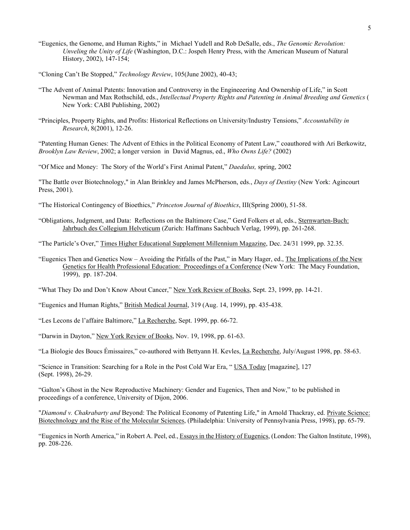"Eugenics, the Genome, and Human Rights," in Michael Yudell and Rob DeSalle, eds., *The Genomic Revolution: Unveling the Unity of Life* (Washington, D.C.: Jospeh Henry Press, with the American Museum of Natural History, 2002), 147-154;

"Cloning Can't Be Stopped," *Technology Review*, 105(June 2002), 40-43;

- "The Advent of Animal Patents: Innovation and Controversy in the Engineeering And Ownership of Life," in Scott Newman and Max Rothschild, eds., *Intellectual Property Rights and Patenting in Animal Breeding and Genetics* ( New York: CABI Publishing, 2002)
- "Principles, Property Rights, and Profits: Historical Reflections on University/Industry Tensions," *Accountability in Research*, 8(2001), 12-26.

"Patenting Human Genes: The Advent of Ethics in the Political Economy of Patent Law," coauthored with Ari Berkowitz, *Brooklyn Law Review*, 2002; a longer version in David Magnus, ed., *Who Owns Life?* (2002)

"Of Mice and Money: The Story of the World's First Animal Patent," *Daedalus,* spring, 2002

"The Battle over Biotechnology," in Alan Brinkley and James McPherson, eds., *Days of Destiny* (New York: Agincourt Press, 2001).

- "The Historical Contingency of Bioethics," *Princeton Journal of Bioethics*, III(Spring 2000), 51-58.
- "Obligations, Judgment, and Data: Reflections on the Baltimore Case," Gerd Folkers et al, eds., Sternwarten-Buch: Jahrbuch des Collegium Helveticum (Zurich: Haffmans Sachbuch Verlag, 1999), pp. 261-268.

"The Particle's Over," Times Higher Educational Supplement Millennium Magazine, Dec. 24/31 1999, pp. 32.35.

"Eugenics Then and Genetics Now – Avoiding the Pitfalls of the Past," in Mary Hager, ed., The Implications of the New Genetics for Health Professional Education: Proceedings of a Conference (New York: The Macy Foundation, 1999), pp. 187-204.

"What They Do and Don't Know About Cancer," New York Review of Books, Sept. 23, 1999, pp. 14-21.

"Eugenics and Human Rights," British Medical Journal, 319 (Aug. 14, 1999), pp. 435-438.

"Les Lecons de l'affaire Baltimore," La Recherche, Sept. 1999, pp. 66-72.

"Darwin in Dayton," New York Review of Books, Nov. 19, 1998, pp. 61-63.

"La Biologie des Boucs Émissaires," co-authored with Bettyann H. Kevles, La Recherche, July/August 1998, pp. 58-63.

"Science in Transition: Searching for a Role in the Post Cold War Era, " USA Today [magazine], 127 (Sept. 1998), 26-29.

"Galton's Ghost in the New Reproductive Machinery: Gender and Eugenics, Then and Now," to be published in proceedings of a conference, University of Dijon, 2006.

"*Diamond v. Chakrabarty and* Beyond: The Political Economy of Patenting Life," in Arnold Thackray, ed. Private Science: Biotechnology and the Rise of the Molecular Sciences, (Philadelphia: University of Pennsylvania Press, 1998), pp. 65-79.

"Eugenics in North America," in Robert A. Peel, ed., Essays in the History of Eugenics, (London: The Galton Institute, 1998), pp. 208-226.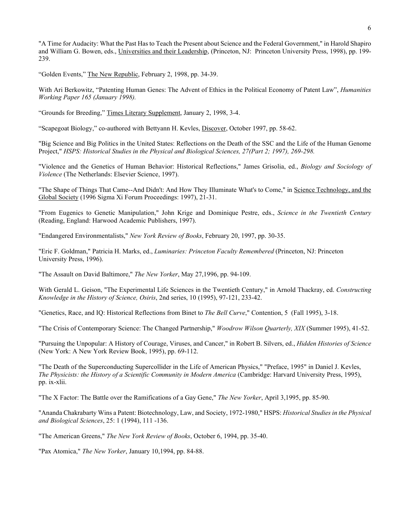"A Time for Audacity: What the Past Has to Teach the Present about Science and the Federal Government," in Harold Shapiro and William G. Bowen, eds., Universities and their Leadership, (Princeton, NJ: Princeton University Press, 1998), pp. 199-239.

"Golden Events," The New Republic, February 2, 1998, pp. 34-39.

With Ari Berkowitz, "Patenting Human Genes: The Advent of Ethics in the Political Economy of Patent Law", *Humanities Working Paper 165 (January 1998).*

"Grounds for Breeding," Times Literary Supplement, January 2, 1998, 3-4.

"Scapegoat Biology," co-authored with Bettyann H. Kevles, Discover, October 1997, pp. 58-62.

"Big Science and Big Politics in the United States: Reflections on the Death of the SSC and the Life of the Human Genome Project," *HSPS: Historical Studies in the Physical and Biological Sciences, 27(Part 2; 1997), 269-298.*

"Violence and the Genetics of Human Behavior: Historical Reflections," James Grisolia, ed., *Biology and Sociology of Violence* (The Netherlands: Elsevier Science, 1997).

"The Shape of Things That Came--And Didn't: And How They Illuminate What's to Come," in Science Technology, and the Global Society (1996 Sigma Xi Forum Proceedings: 1997), 21-31.

"From Eugenics to Genetic Manipulation," John Krige and Dominique Pestre, eds., *Science in the Twentieth Century*  (Reading, England: Harwood Academic Publishers, 1997).

"Endangered Environmentalists," *New York Review of Books*, February 20, 1997, pp. 30-35.

"Eric F. Goldman," Patricia H. Marks, ed., *Luminaries: Princeton Faculty Remembered* (Princeton, NJ: Princeton University Press, 1996).

"The Assault on David Baltimore," *The New Yorker*, May 27,1996, pp. 94-109.

With Gerald L. Geison, "The Experimental Life Sciences in the Twentieth Century," in Arnold Thackray, ed. *Constructing Knowledge in the History of Science, Osiris*, 2nd series, 10 (1995), 97-121, 233-42.

"Genetics, Race, and IQ: Historical Reflections from Binet to *The Bell Curve*," Contention, 5 (Fall 1995), 3-18.

"The Crisis of Contemporary Science: The Changed Partnership," *Woodrow Wilson Quarterly, XIX* (Summer 1995), 41-52.

"Pursuing the Unpopular: A History of Courage, Viruses, and Cancer," in Robert B. Silvers, ed., *Hidden Histories of Science* (New York: A New York Review Book, 1995), pp. 69-112.

"The Death of the Superconducting Supercollider in the Life of American Physics," "Preface, 1995" in Daniel J. Kevles, *The Physicists: the History of a Scientific Community in Modern America* (Cambridge: Harvard University Press, 1995), pp. ix-xlii.

"The X Factor: The Battle over the Ramifications of a Gay Gene," *The New Yorker*, April 3,1995, pp. 85-90.

"Ananda Chakrabarty Wins a Patent: Biotechnology, Law, and Society, 1972-1980," HSPS: *Historical Studies in the Physical and Biological Sciences*, 25: 1 (1994), 111 -136.

"The American Greens," *The New York Review of Books*, October 6, 1994, pp. 35-40.

"Pax Atomica," *The New Yorker*, January 10,1994, pp. 84-88.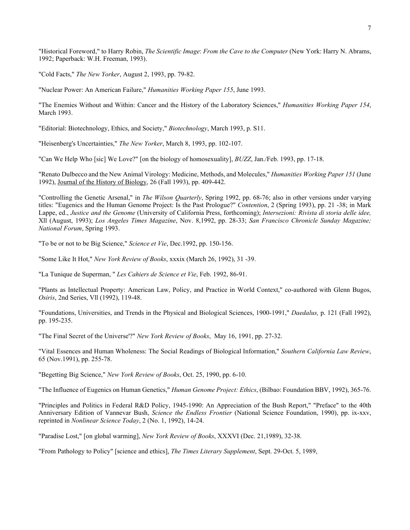"Historical Foreword," to Harry Robin, *The Scientific Image*: *From the Cave to the Computer* (New York: Harry N. Abrams, 1992; Paperback: W.H. Freeman, 1993).

"Cold Facts," *The New Yorker*, August 2, 1993, pp. 79-82.

"Nuclear Power: An American Failure," *Humanities Working Paper 155*, June 1993.

"The Enemies Without and Within: Cancer and the History of the Laboratory Sciences," *Humanities Working Paper 154*, March 1993.

"Editorial: Biotechnology, Ethics, and Society," *Biotechnology*, March 1993, p. S11.

"Heisenberg's Uncertainties," *The New Yorker*, March 8, 1993, pp. 102-107.

"Can We Help Who [sic] We Love?" [on the biology of homosexuality], *BUZZ*, Jan./Feb. 1993, pp. 17-18.

"Renato Dulbecco and the New Animal Virology: Medicine, Methods, and Molecules," *Humanities Working Paper 151* (June 1992), Journal of the History of Biology, 26 (Fall 1993), pp. 409-442.

"Controlling the Genetic Arsenal," in *The Wilson Quarterly*, Spring 1992, pp. 68-76; also in other versions under varying titles: "Eugenics and the Human Genome Project: Is the Past Prologue?" *Contention*, 2 (Spring 1993), pp. 21 -38; in Mark Lappe, ed., *Justice and the Genome* (University of California Press, forthcoming); *Intersezioni: Rivista di storia delle idee,* Xll (August, 1993); *Los Angeles Times Magazine*, Nov. 8,1992, pp. 28-33; *San Francisco Chronicle Sunday Magazine; National Forum*, Spring 1993.

"To be or not to be Big Science," *Science et Vie*, Dec.1992, pp. 150-156.

"Some Like It Hot," *New York Review of Books*, xxxix (March 26, 1992), 31 -39.

"La Tunique de Superman, " *Les Cahiers de Science et Vie*, Feb. 1992, 86-91.

"Plants as Intellectual Property: American Law, Policy, and Practice in World Context," co-authored with Glenn Bugos, *Osiris*, 2nd Series, Vll (1992), 119-48.

"Foundations, Universities, and Trends in the Physical and Biological Sciences, 1900-1991," *Daedalus,* p. 121 (Fall 1992), pp. 195-235.

"The Final Secret of the Universe'?" *New York Review of Books*, May 16, 1991, pp. 27-32.

"Vital Essences and Human Wholeness: The Social Readings of Biological Information," *Southern California Law Review*, 65 (Nov.1991), pp. 255-78.

"Begetting Big Science," *New York Review of Books*, Oct. 25, 1990, pp. 6-10.

"The Influence of Eugenics on Human Genetics," *Human Genome Project: Ethics*, (Bilbao: Foundation BBV, 1992), 365-76.

"Principles and Politics in Federal R&D Policy, 1945-1990: An Appreciation of the Bush Report," "Preface" to the 40th Anniversary Edition of Vannevar Bush, *Science the Endless Frontier* (National Science Foundation, 1990), pp. ix-xxv, reprinted in *Nonlinear Science Today*, 2 (No. 1, 1992), 14-24.

"Paradise Lost," [on global warming], *New York Review of Books*, XXXVI (Dec. 21,1989), 32-38.

"From Pathology to Policy" [science and ethics], *The Times Literary Supplement*, Sept. 29-Oct. 5, 1989,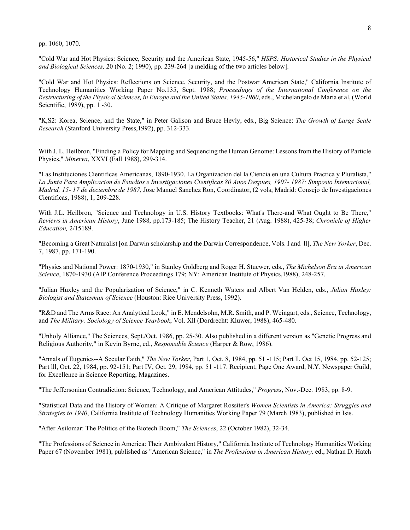pp. 1060, 1070.

"Cold War and Hot Physics: Science, Security and the American State, 1945-56," *HSPS: Historical Studies in the Physical and Biological Sciences,* 20 (No. 2; 1990), pp. 239-264 [a melding of the two articles below].

"Cold War and Hot Physics: Reflections on Science, Security, and the Postwar American State," California Institute of Technology Humanities Working Paper No.135, Sept. 1988; *Proceedings of the International Conference on the Restructuring of the Physical Sciences, in Europe and the United States, 1945-1960*, eds., Michelangelo de Maria et al, (World Scientific, 1989), pp. 1 -30.

"K,S2: Korea, Science, and the State," in Peter Galison and Bruce Hevly, eds., Big Science: *The Growth of Large Scale Research* (Stanford University Press,1992), pp. 312-333.

With J. L. Heilbron, "Finding a Policy for Mapping and Sequencing the Human Genome: Lessons from the History of Particle Physics," *Minerva*, XXVI (Fall 1988), 299-314.

"Las Instituciones Cientificas Americanas, 1890-1930. La Organizacion del la Ciencia en una Cultura Practica y Pluralista," *La Junta Para Amplicacion de Estudios e Investigaciones Cientificas 80 Anos Despues, 1907- 1987: Simposio Intemacional, Madrid, 15- 17 de deciembre de 1987,* Jose Manuel Sanchez Ron, Coordinator, (2 vols; Madrid: Consejo de Investigaciones Cientificas, 1988), 1, 209-228.

With J.L. Heilbron, "Science and Technology in U.S. History Textbooks: What's There-and What Ought to Be There," *Reviews in American History*, June 1988, pp.173-185; The History Teacher, 21 (Aug. 1988), 425-38; *Chronicle of Higher Education,* 2/15189.

"Becoming a Great Naturalist [on Darwin scholarship and the Darwin Correspondence, Vols. I and ll], *The New Yorker*, Dec. 7, 1987, pp. 171-190.

"Physics and National Power: 1870-1930," in Stanley Goldberg and Roger H. Stuewer, eds., *The Michelson Era in American Science*, 1870-1930 (AIP Conference Proceedings 179; NY: American Institute of Physics,1988), 248-257.

"Julian Huxley and the Popularization of Science," in C. Kenneth Waters and Albert Van Helden, eds., *Julian Huxley: Biologist and Statesman of Science* (Houston: Rice University Press, 1992).

"R&D and The Arms Race: An Analytical Look," in E. Mendelsohn, M.R. Smith, and P. Weingart, eds., Science, Technology, and *The Military: Sociology of Science Yearbook*, Vol. Xll (Dordrecht: Kluwer, 1988), 465-480.

"Unholy Alliance," The Sciences, Sept./Oct. 1986, pp. 25-30. Also published in a different version as "Genetic Progress and Religious Authority," in Kevin Byrne, ed., *Responsible Science* (Harper & Row, 1986).

"Annals of Eugenics--A Secular Faith," *The New Yorker*, Part 1, Oct. 8, 1984, pp. 51 -115; Part ll, Oct 15, 1984, pp. 52-125; Part lll, Oct. 22, 1984, pp. 92-151; Part IV, Oct. 29, 1984, pp. 51 -117. Recipient, Page One Award, N.Y. Newspaper Guild, for Excellence in Science Reporting, Magazines.

"The Jeffersonian Contradiction: Science, Technology, and American Attitudes," *Progress*, Nov.-Dec. 1983, pp. 8-9.

"Statistical Data and the History of Women: A Critique of Margaret Rossiter's *Women Scientists in America: Struggles and Strategies to 1940*, California Institute of Technology Humanities Working Paper 79 (March 1983), published in Isis.

"After Asilomar: The Politics of the Biotech Boom," *The Sciences*, 22 (October 1982), 32-34.

"The Professions of Science in America: Their Ambivalent History," California Institute of Technology Humanities Working Paper 67 (November 1981), published as "American Science," in *The Professions in American History,* ed., Nathan D. Hatch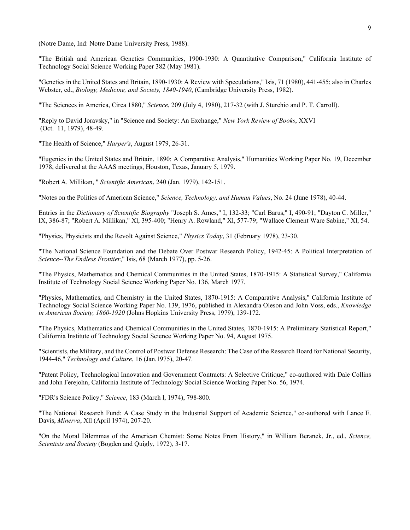(Notre Dame, Ind: Notre Dame University Press, 1988).

"The British and American Genetics Communities, 1900-1930: A Quantitative Comparison," California Institute of Technology Social Science Working Paper 382 (May 1981).

"Genetics in the United States and Britain, 1890-1930: A Review with Speculations," Isis, 71 (1980), 441-455; also in Charles Webster, ed., *Biology, Medicine, and Society, 1840-1940*, (Cambridge University Press, 1982).

"The Sciences in America, Circa 1880," *Science*, 209 (July 4, 1980), 217-32 (with J. Sturchio and P. T. Carroll).

"Reply to David Joravsky," in "Science and Society: An Exchange," *New York Review of Books*, XXVI (Oct. 11, 1979), 48-49.

"The Health of Science," *Harper's*, August 1979, 26-31.

"Eugenics in the United States and Britain, 1890: A Comparative Analysis," Humanities Working Paper No. 19, December 1978, delivered at the AAAS meetings, Houston, Texas, January 5, 1979.

"Robert A. Millikan, " *Scientific American*, 240 (Jan. 1979), 142-151.

"Notes on the Politics of American Science," *Science, Technology, and Human Values*, No. 24 (June 1978), 40-44.

Entries in the *Dictionary of Scientific Biography* "Joseph S. Ames," I, 132-33; "Carl Barus," I, 490-91; "Dayton C. Miller," IX, 386-87; "Robert A. Millikan," Xl, 395-400; "Henry A. Rowland," Xl, 577-79; "Wallace Clement Ware Sabine," Xl, 54.

"Physics, Physicists and the Revolt Against Science," *Physics Today*, 31 (February 1978), 23-30.

"The National Science Foundation and the Debate Over Postwar Research Policy, 1942-45: A Political Interpretation of *Science--The Endless Frontier*," Isis, 68 (March 1977), pp. 5-26.

"The Physics, Mathematics and Chemical Communities in the United States, 1870-1915: A Statistical Survey," California Institute of Technology Social Science Working Paper No. 136, March 1977.

"Physics, Mathematics, and Chemistry in the United States, 1870-1915: A Comparative Analysis," California Institute of Technology Social Science Working Paper No. 139, 1976, published in Alexandra Oleson and John Voss, eds., *Knowledge in American Society, 1860-1920* (Johns Hopkins University Press, 1979), 139-172.

"The Physics, Mathematics and Chemical Communities in the United States, 1870-1915: A Preliminary Statistical Report," California Institute of Technology Social Science Working Paper No. 94, August 1975.

"Scientists, the Military, and the Control of Postwar Defense Research: The Case of the Research Board for National Security, 1944-46," *Technology and Culture*, 16 (Jan.1975), 20-47.

"Patent Policy, Technological Innovation and Government Contracts: A Selective Critique," co-authored with Dale Collins and John Ferejohn, California Institute of Technology Social Science Working Paper No. 56, 1974.

"FDR's Science Policy," *Science*, 183 (March l, 1974), 798-800.

"The National Research Fund: A Case Study in the Industrial Support of Academic Science," co-authored with Lance E. Davis, *Minerva*, Xll (April 1974), 207-20.

"On the Moral Dilemmas of the American Chemist: Some Notes From History," in William Beranek, Jr., ed., *Science, Scientists and Society* (Bogden and Quigly, 1972), 3-17.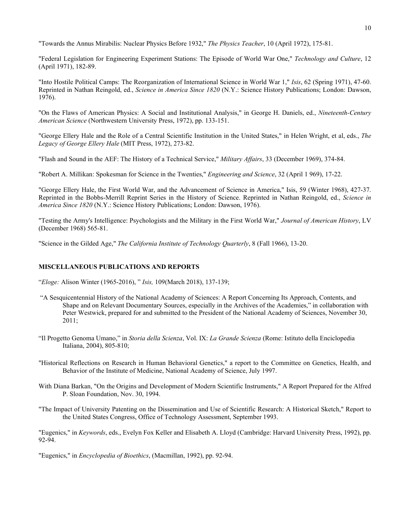"Towards the Annus Mirabilis: Nuclear Physics Before 1932," *The Physics Teacher*, 10 (April 1972), 175-81.

"Federal Legislation for Engineering Experiment Stations: The Episode of World War One," *Technology and Culture*, 12 (April 1971), 182-89.

"Into Hostile Political Camps: The Reorganization of International Science in World War 1," *Isis*, 62 (Spring 1971), 47-60. Reprinted in Nathan Reingold, ed., *Science in America Since 1820* (N.Y.: Science History Publications; London: Dawson, 1976).

"On the Flaws of American Physics: A Social and Institutional Analysis," in George H. Daniels, ed., *Nineteenth-Century American Science* (Northwestern University Press, 1972), pp. 133-151.

"George Ellery Hale and the Role of a Central Scientific Institution in the United States," in Helen Wright, et al, eds., *The Legacy of George Ellery Hale* (MIT Press, 1972), 273-82.

"Flash and Sound in the AEF: The History of a Technical Service," *Military Affairs*, 33 (December 1969), 374-84.

"Robert A. Millikan: Spokesman for Science in the Twenties," *Engineering and Science*, 32 (April 1 969), 17-22.

"George Ellery Hale, the First World War, and the Advancement of Science in America," Isis, 59 (Winter 1968), 427-37. Reprinted in the Bobbs-Merrill Reprint Series in the History of Science. Reprinted in Nathan Reingold, ed., *Science in America Since 1820* (N.Y.: Science History Publications; London: Dawson, 1976).

"Testing the Army's Intelligence: Psychologists and the Military in the First World War," *Journal of American History*, LV (December 1968) 565-81.

"Science in the Gilded Age," *The California Institute of Technology Quarterly*, 8 (Fall 1966), 13-20.

### **MISCELLANEOUS PUBLICATIONS AND REPORTS**

"*Eloge:* Alison Winter (1965-2016), " *Isis,* 109(March 2018), 137-139;

- "A Sesquicentennial History of the National Academy of Sciences: A Report Concerning Its Approach, Contents, and Shape and on Relevant Documentary Sources, especially in the Archives of the Academies," in collaboration with Peter Westwick, prepared for and submitted to the President of the National Academy of Sciences, November 30, 2011;
- "Il Progetto Genoma Umano," in *Storia della Scienza*, Vol. IX: *La Grande Scienza* (Rome: Istituto della Enciclopedia Italiana, 2004), 805-810;
- "Historical Reflections on Research in Human Behavioral Genetics," a report to the Committee on Genetics, Health, and Behavior of the Institute of Medicine, National Academy of Science, July 1997.
- With Diana Barkan, "On the Origins and Development of Modern Scientific Instruments," A Report Prepared for the Alfred P. Sloan Foundation, Nov. 30, 1994.
- "The Impact of University Patenting on the Dissemination and Use of Scientific Research: A Historical Sketch," Report to the United States Congress, Office of Technology Assessment, September 1993.

"Eugenics," in *Keywords*, eds., Evelyn Fox Keller and Elisabeth A. Lloyd (Cambridge: Harvard University Press, 1992), pp. 92-94.

"Eugenics," in *Encyclopedia of Bioethics*, (Macmillan, 1992), pp. 92-94.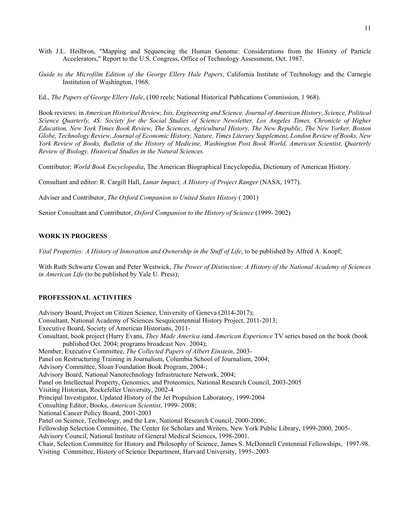- With J.L. Heilbron, "Mapping and Sequencing the Human Genome: Considerations from the History of Particle Accelerators," Report to the U.S. Congress, Office of Technology Assessment, Oct. 1987.
- *Guide to the Microfilm Edition of the George Ellery Hale Papers*, California Institute of Technology and the Carnegie Institution of Washington, 1968.
- Ed., *The Papers of George Ellery Hale*, (100 reels; National Historical Publications Commission, 1 968).

Book reviews: in *American Historical Review, Isis, Engineering and Science, Journal of American History, Science, Political Science Quarterly, 4S: Society for the Social Studies of Science Newsletter, Los Angeles Times, Chronicle of Higher Education, New York Times Book Review, The Sciences, Agricultural History, The New Republic, The New Yorker, Boston Globe, Technology Review, Journal of Economic History, Nature, Times Literary Supplement, London Review of Books, New York Review of Books, Bulletin of the History of Medicine, Washington Post Book World, American Scientist, Quarterly Review of Biology, Historical Studies in the Natural Sciences.*

Contributor: *World Book Encyclopedia*, The American Biographical Encyclopedia, Dictionary of American History.

Consultant and editor: R. Cargill Hall, *Lunar Impact, A History of Project Ranger* (NASA, 1977).

Adviser and Contributor, *The Oxford Companion to United States History* ( 2001)

Senior Consultant and Contributor, *Oxford Companion to the History of Science* (1999- 2002)

# **WORK IN PROGRESS**

*Vital Properties: A History of Innovation and Ownership in the Stuff of Life*, to be published by Alfred A. Knopf;

With Ruth Schwartz Cowan and Peter Westwick, *The Power of Distinction: A History of the National Academy of Sciences in American Life* (to be published by Yale U. Press);

# **PROFESSIONAL ACTIVITIES**

Advisory Board, Project on Citizen Science, University of Geneva (2014-2017); Consultant, National Academy of Sciences Sesquicentennial History Project, 2011-2013; Executive Board, Society of American Historians, 2011- Consultant, book project (Harry Evans, *They Made America )*and *American Experience* TV series based on the book (book published Oct. 2004; programs broadcast Nov. 2004); Member, Executive Committee, *The Collected Papers of Albert Einstein*, 2003- Panel on Restructuring Training in Journalism, Columbia School of Journalism, 2004; Advisory Committee, Sloan Foundation Book Program, 2004-; Advisory Board, National Nanotechnology Infrastructure Network, 2004; Panel on Intellectual Property, Genomics, and Proteomics, National Research Council, 2003-2005 Visiting Historian, Rockefeller University, 2002-4 Principal Investigator, Updated History of the Jet Propulsion Laboratory, 1999-2004 Consulting Editor, Books, *American Scientist*, 1999- 2008; National Cancer Policy Board, 2001-2003 Panel on Science, Technology, and the Law, National Research Council, 2000-2006;. Fellowship Selection Committee, The Center for Scholars and Writers, New York Public Library, 1999-2000, 2005-. Advisory Council, National Institute of General Medical Sciences, 1998-2001. Chair, Selection Committee for History and Philosophy of Science, James S. McDonnell Centennial Fellowships, 1997-98. Visiting Committee, History of Science Department, Harvard University, 1995-.2003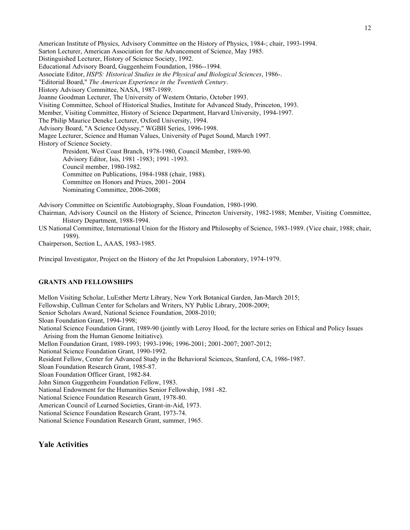American Institute of Physics, Advisory Committee on the History of Physics, 1984-; chair, 1993-1994. Sarton Lecturer, American Association for the Advancement of Science, May 1985. Distinguished Lecturer, History of Science Society, 1992. Educational Advisory Board, Guggenheim Foundation, 1986--1994. Associate Editor, *HSPS: Historical Studies in the Physical and Biological Sciences*, 1986-. "Editorial Board," *The American Experience in the Twentieth Century*. History Advisory Committee, NASA, 1987-1989. Joanne Goodman Lecturer, The University of Western Ontario, October 1993. Visiting Committee, School of Historical Studies, Institute for Advanced Study, Princeton, 1993. Member, Visiting Committee, History of Science Department, Harvard University, 1994-1997. The Philip Maurice Deneke Lecturer, Oxford University, 1994. Advisory Board, "A Science Odyssey," WGBH Series, 1996-1998. Magee Lecturer, Science and Human Values, University of Puget Sound, March 1997. History of Science Society. President, West Coast Branch, 1978-1980, Council Member, 1989-90. Advisory Editor, Isis, 1981 -1983; 1991 -1993. Council member, 1980-1982. Committee on Publications, 1984-1988 (chair, 1988). Committee on Honors and Prizes, 2001- 2004 Nominating Committee, 2006-2008; Advisory Committee on Scientific Autobiography, Sloan Foundation, 1980-1990. Chairman, Advisory Council on the History of Science, Princeton University, 1982-1988; Member, Visiting Committee,

History Department, 1988-1994.

US National Committee, International Union for the History and Philosophy of Science, 1983-1989. (Vice chair, 1988; chair, 1989).

Chairperson, Section L, AAAS, 1983-1985.

Principal Investigator, Project on the History of the Jet Propulsion Laboratory, 1974-1979.

### **GRANTS AND FELLOWSHIPS**

Mellon Visiting Scholar, LuEsther Mertz Library, New York Botanical Garden, Jan-March 2015; Fellowship, Cullman Center for Scholars and Writers, NY Public Library, 2008-2009; Senior Scholars Award, National Science Foundation, 2008-2010; Sloan Foundation Grant, 1994-1998; National Science Foundation Grant, 1989-90 (jointly with Leroy Hood, for the lecture series on Ethical and Policy Issues Arising from the Human Genome Initiative). Mellon Foundation Grant, 1989-1993; 1993-1996; 1996-2001; 2001-2007; 2007-2012; National Science Foundation Grant, 1990-1992. Resident Fellow, Center for Advanced Study in the Behavioral Sciences, Stanford, CA, 1986-1987. Sloan Foundation Research Grant, 1985-87. Sloan Foundation Officer Grant, 1982-84. John Simon Guggenheim Foundation Fellow, 1983. National Endowment for the Humanities Senior Fellowship, 1981 -82. National Science Foundation Research Grant, 1978-80. American Council of Learned Societies, Grant-in-Aid, 1973. National Science Foundation Research Grant, 1973-74. National Science Foundation Research Grant, summer, 1965.

# **Yale Activities**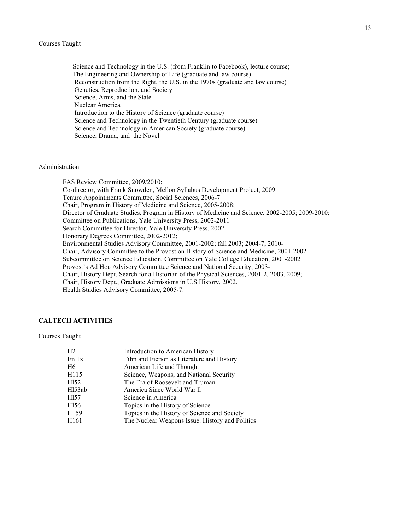#### Courses Taught

 Science and Technology in the U.S. (from Franklin to Facebook), lecture course; The Engineering and Ownership of Life (graduate and law course) Reconstruction from the Right, the U.S. in the 1970s (graduate and law course) Genetics, Reproduction, and Society Science, Arms, and the State Nuclear America Introduction to the History of Science (graduate course) Science and Technology in the Twentieth Century (graduate course) Science and Technology in American Society (graduate course) Science, Drama, and the Novel

# Administration

FAS Review Committee, 2009/2010; Co-director, with Frank Snowden, Mellon Syllabus Development Project, 2009 Tenure Appointments Committee, Social Sciences, 2006-7 Chair, Program in History of Medicine and Science, 2005-2008; Director of Graduate Studies, Program in History of Medicine and Science, 2002-2005; 2009-2010; Committee on Publications, Yale University Press, 2002-2011 Search Committee for Director, Yale University Press, 2002 Honorary Degrees Committee, 2002-2012; Environmental Studies Advisory Committee, 2001-2002; fall 2003; 2004-7; 2010- Chair, Advisory Committee to the Provost on History of Science and Medicine, 2001-2002 Subcommittee on Science Education, Committee on Yale College Education, 2001-2002 Provost's Ad Hoc Advisory Committee Science and National Security, 2003- Chair, History Dept. Search for a Historian of the Physical Sciences, 2001-2, 2003, 2009; Chair, History Dept., Graduate Admissions in U.S History, 2002. Health Studies Advisory Committee, 2005-7.

# **CALTECH ACTIVITIES**

### Courses Taught

| H <sub>2</sub>      | Introduction to American History                |
|---------------------|-------------------------------------------------|
| En 1x               | Film and Fiction as Literature and History      |
| H6                  | American Life and Thought                       |
| H115                | Science, Weapons, and National Security         |
| H <sub>152</sub>    | The Era of Roosevelt and Truman                 |
| H <sub>153</sub> ab | America Since World War II                      |
| H <sub>157</sub>    | Science in America                              |
| H <sub>156</sub>    | Topics in the History of Science                |
| H <sub>159</sub>    | Topics in the History of Science and Society    |
| H <sub>161</sub>    | The Nuclear Weapons Issue: History and Politics |